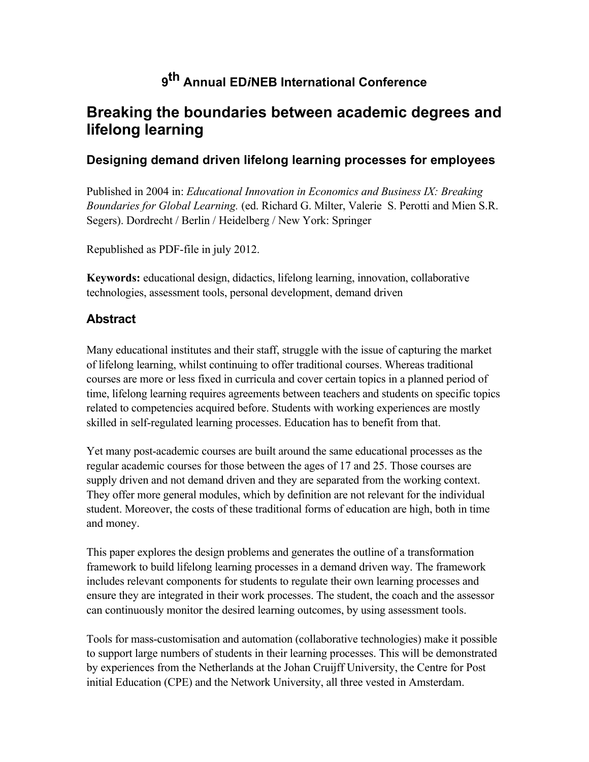# **9th Annual ED***i***NEB International Conference**

## **Breaking the boundaries between academic degrees and lifelong learning**

### **Designing demand driven lifelong learning processes for employees**

Published in 2004 in: *Educational Innovation in Economics and Business IX: Breaking Boundaries for Global Learning.* (ed. Richard G. Milter, Valerie S. Perotti and Mien S.R. Segers). Dordrecht / Berlin / Heidelberg / New York: Springer

Republished as PDF-file in july 2012.

**Keywords:** educational design, didactics, lifelong learning, innovation, collaborative technologies, assessment tools, personal development, demand driven

### **Abstract**

Many educational institutes and their staff, struggle with the issue of capturing the market of lifelong learning, whilst continuing to offer traditional courses. Whereas traditional courses are more or less fixed in curricula and cover certain topics in a planned period of time, lifelong learning requires agreements between teachers and students on specific topics related to competencies acquired before. Students with working experiences are mostly skilled in self-regulated learning processes. Education has to benefit from that.

Yet many post-academic courses are built around the same educational processes as the regular academic courses for those between the ages of 17 and 25. Those courses are supply driven and not demand driven and they are separated from the working context. They offer more general modules, which by definition are not relevant for the individual student. Moreover, the costs of these traditional forms of education are high, both in time and money.

This paper explores the design problems and generates the outline of a transformation framework to build lifelong learning processes in a demand driven way. The framework includes relevant components for students to regulate their own learning processes and ensure they are integrated in their work processes. The student, the coach and the assessor can continuously monitor the desired learning outcomes, by using assessment tools.

Tools for mass-customisation and automation (collaborative technologies) make it possible to support large numbers of students in their learning processes. This will be demonstrated by experiences from the Netherlands at the Johan Cruijff University, the Centre for Post initial Education (CPE) and the Network University, all three vested in Amsterdam.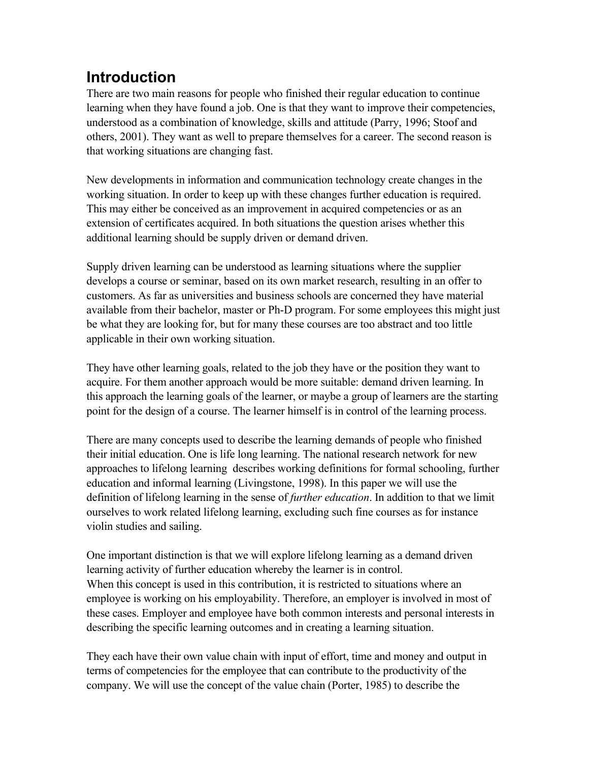# **Introduction**

There are two main reasons for people who finished their regular education to continue learning when they have found a job. One is that they want to improve their competencies, understood as a combination of knowledge, skills and attitude (Parry, 1996; Stoof and others, 2001). They want as well to prepare themselves for a career. The second reason is that working situations are changing fast.

New developments in information and communication technology create changes in the working situation. In order to keep up with these changes further education is required. This may either be conceived as an improvement in acquired competencies or as an extension of certificates acquired. In both situations the question arises whether this additional learning should be supply driven or demand driven.

Supply driven learning can be understood as learning situations where the supplier develops a course or seminar, based on its own market research, resulting in an offer to customers. As far as universities and business schools are concerned they have material available from their bachelor, master or Ph-D program. For some employees this might just be what they are looking for, but for many these courses are too abstract and too little applicable in their own working situation.

They have other learning goals, related to the job they have or the position they want to acquire. For them another approach would be more suitable: demand driven learning. In this approach the learning goals of the learner, or maybe a group of learners are the starting point for the design of a course. The learner himself is in control of the learning process.

There are many concepts used to describe the learning demands of people who finished their initial education. One is life long learning. The national research network for new approaches to lifelong learning describes working definitions for formal schooling, further education and informal learning (Livingstone, 1998). In this paper we will use the definition of lifelong learning in the sense of *further education*. In addition to that we limit ourselves to work related lifelong learning, excluding such fine courses as for instance violin studies and sailing.

One important distinction is that we will explore lifelong learning as a demand driven learning activity of further education whereby the learner is in control. When this concept is used in this contribution, it is restricted to situations where an employee is working on his employability. Therefore, an employer is involved in most of these cases. Employer and employee have both common interests and personal interests in describing the specific learning outcomes and in creating a learning situation.

They each have their own value chain with input of effort, time and money and output in terms of competencies for the employee that can contribute to the productivity of the company. We will use the concept of the value chain (Porter, 1985) to describe the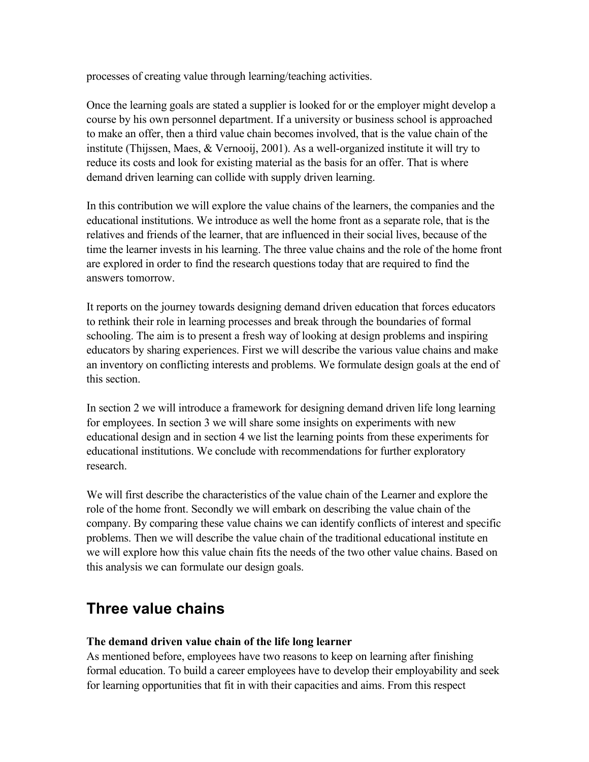processes of creating value through learning/teaching activities.

Once the learning goals are stated a supplier is looked for or the employer might develop a course by his own personnel department. If a university or business school is approached to make an offer, then a third value chain becomes involved, that is the value chain of the institute (Thijssen, Maes, & Vernooij, 2001). As a well-organized institute it will try to reduce its costs and look for existing material as the basis for an offer. That is where demand driven learning can collide with supply driven learning.

In this contribution we will explore the value chains of the learners, the companies and the educational institutions. We introduce as well the home front as a separate role, that is the relatives and friends of the learner, that are influenced in their social lives, because of the time the learner invests in his learning. The three value chains and the role of the home front are explored in order to find the research questions today that are required to find the answers tomorrow.

It reports on the journey towards designing demand driven education that forces educators to rethink their role in learning processes and break through the boundaries of formal schooling. The aim is to present a fresh way of looking at design problems and inspiring educators by sharing experiences. First we will describe the various value chains and make an inventory on conflicting interests and problems. We formulate design goals at the end of this section.

In section 2 we will introduce a framework for designing demand driven life long learning for employees. In section 3 we will share some insights on experiments with new educational design and in section 4 we list the learning points from these experiments for educational institutions. We conclude with recommendations for further exploratory research.

We will first describe the characteristics of the value chain of the Learner and explore the role of the home front. Secondly we will embark on describing the value chain of the company. By comparing these value chains we can identify conflicts of interest and specific problems. Then we will describe the value chain of the traditional educational institute en we will explore how this value chain fits the needs of the two other value chains. Based on this analysis we can formulate our design goals.

# **Three value chains**

#### **The demand driven value chain of the life long learner**

As mentioned before, employees have two reasons to keep on learning after finishing formal education. To build a career employees have to develop their employability and seek for learning opportunities that fit in with their capacities and aims. From this respect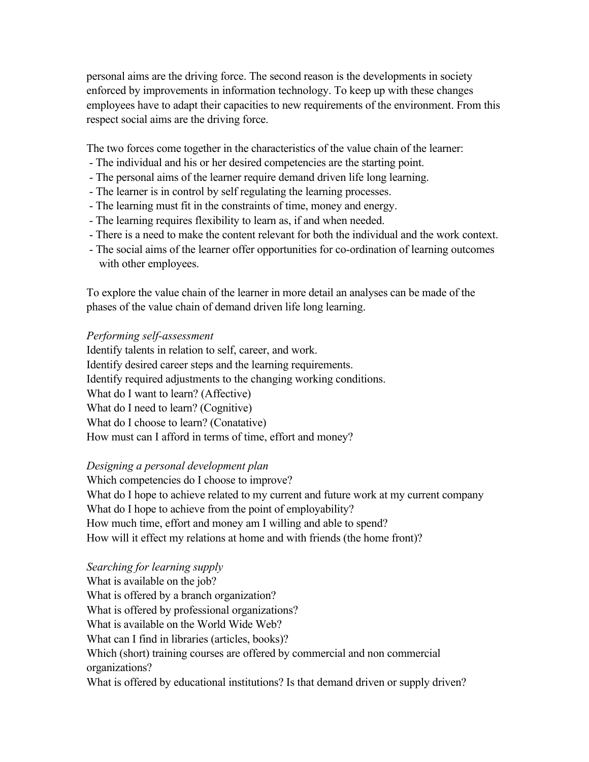personal aims are the driving force. The second reason is the developments in society enforced by improvements in information technology. To keep up with these changes employees have to adapt their capacities to new requirements of the environment. From this respect social aims are the driving force.

The two forces come together in the characteristics of the value chain of the learner:

- The individual and his or her desired competencies are the starting point.
- The personal aims of the learner require demand driven life long learning.
- The learner is in control by self regulating the learning processes.
- The learning must fit in the constraints of time, money and energy.
- The learning requires flexibility to learn as, if and when needed.
- There is a need to make the content relevant for both the individual and the work context.
- The social aims of the learner offer opportunities for co-ordination of learning outcomes with other employees.

To explore the value chain of the learner in more detail an analyses can be made of the phases of the value chain of demand driven life long learning.

#### *Performing self-assessment*

Identify talents in relation to self, career, and work. Identify desired career steps and the learning requirements. Identify required adjustments to the changing working conditions. What do I want to learn? (Affective) What do I need to learn? (Cognitive) What do I choose to learn? (Conatative) How must can I afford in terms of time, effort and money?

#### *Designing a personal development plan*

Which competencies do I choose to improve? What do I hope to achieve related to my current and future work at my current company What do I hope to achieve from the point of employability? How much time, effort and money am I willing and able to spend? How will it effect my relations at home and with friends (the home front)?

#### *Searching for learning supply*

What is available on the job? What is offered by a branch organization? What is offered by professional organizations? What is available on the World Wide Web? What can I find in libraries (articles, books)? Which (short) training courses are offered by commercial and non commercial organizations? What is offered by educational institutions? Is that demand driven or supply driven?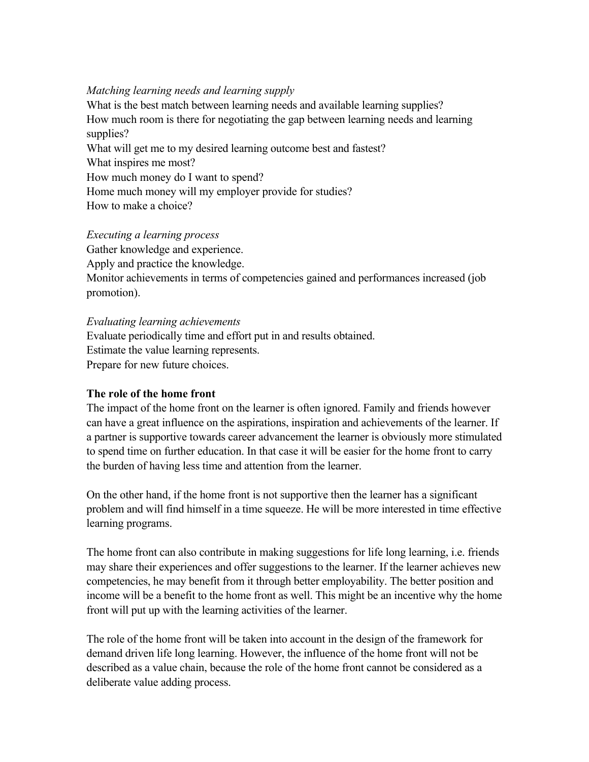#### *Matching learning needs and learning supply*

What is the best match between learning needs and available learning supplies? How much room is there for negotiating the gap between learning needs and learning supplies? What will get me to my desired learning outcome best and fastest? What inspires me most? How much money do I want to spend? Home much money will my employer provide for studies? How to make a choice?

#### *Executing a learning process*

Gather knowledge and experience. Apply and practice the knowledge. Monitor achievements in terms of competencies gained and performances increased (job promotion).

#### *Evaluating learning achievements*

Evaluate periodically time and effort put in and results obtained. Estimate the value learning represents. Prepare for new future choices.

#### **The role of the home front**

The impact of the home front on the learner is often ignored. Family and friends however can have a great influence on the aspirations, inspiration and achievements of the learner. If a partner is supportive towards career advancement the learner is obviously more stimulated to spend time on further education. In that case it will be easier for the home front to carry the burden of having less time and attention from the learner.

On the other hand, if the home front is not supportive then the learner has a significant problem and will find himself in a time squeeze. He will be more interested in time effective learning programs.

The home front can also contribute in making suggestions for life long learning, i.e. friends may share their experiences and offer suggestions to the learner. If the learner achieves new competencies, he may benefit from it through better employability. The better position and income will be a benefit to the home front as well. This might be an incentive why the home front will put up with the learning activities of the learner.

The role of the home front will be taken into account in the design of the framework for demand driven life long learning. However, the influence of the home front will not be described as a value chain, because the role of the home front cannot be considered as a deliberate value adding process.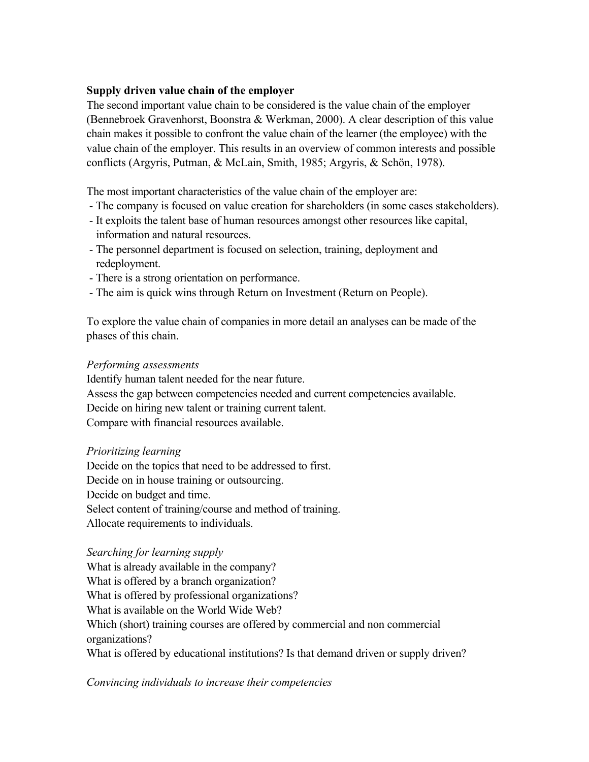#### **Supply driven value chain of the employer**

The second important value chain to be considered is the value chain of the employer (Bennebroek Gravenhorst, Boonstra & Werkman, 2000). A clear description of this value chain makes it possible to confront the value chain of the learner (the employee) with the value chain of the employer. This results in an overview of common interests and possible conflicts (Argyris, Putman, & McLain, Smith, 1985; Argyris, & Schön, 1978).

The most important characteristics of the value chain of the employer are:

- The company is focused on value creation for shareholders (in some cases stakeholders).
- It exploits the talent base of human resources amongst other resources like capital, information and natural resources.
- The personnel department is focused on selection, training, deployment and redeployment.
- There is a strong orientation on performance.
- The aim is quick wins through Return on Investment (Return on People).

To explore the value chain of companies in more detail an analyses can be made of the phases of this chain.

#### *Performing assessments*

Identify human talent needed for the near future. Assess the gap between competencies needed and current competencies available. Decide on hiring new talent or training current talent. Compare with financial resources available.

#### *Prioritizing learning*

Decide on the topics that need to be addressed to first. Decide on in house training or outsourcing. Decide on budget and time. Select content of training/course and method of training. Allocate requirements to individuals.

#### *Searching for learning supply*

What is already available in the company? What is offered by a branch organization? What is offered by professional organizations? What is available on the World Wide Web? Which (short) training courses are offered by commercial and non commercial organizations? What is offered by educational institutions? Is that demand driven or supply driven?

*Convincing individuals to increase their competencies*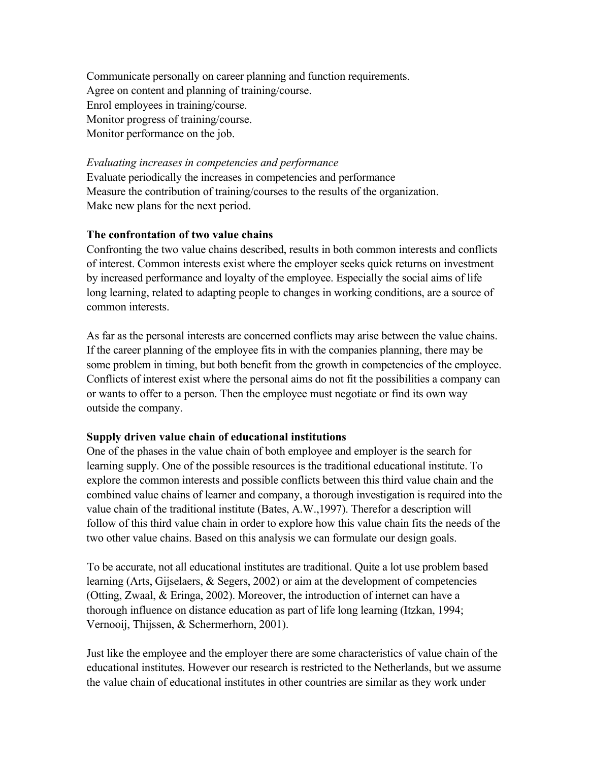Communicate personally on career planning and function requirements. Agree on content and planning of training/course. Enrol employees in training/course. Monitor progress of training/course. Monitor performance on the job.

#### *Evaluating increases in competencies and performance*

Evaluate periodically the increases in competencies and performance Measure the contribution of training/courses to the results of the organization. Make new plans for the next period.

#### **The confrontation of two value chains**

Confronting the two value chains described, results in both common interests and conflicts of interest. Common interests exist where the employer seeks quick returns on investment by increased performance and loyalty of the employee. Especially the social aims of life long learning, related to adapting people to changes in working conditions, are a source of common interests.

As far as the personal interests are concerned conflicts may arise between the value chains. If the career planning of the employee fits in with the companies planning, there may be some problem in timing, but both benefit from the growth in competencies of the employee. Conflicts of interest exist where the personal aims do not fit the possibilities a company can or wants to offer to a person. Then the employee must negotiate or find its own way outside the company.

#### **Supply driven value chain of educational institutions**

One of the phases in the value chain of both employee and employer is the search for learning supply. One of the possible resources is the traditional educational institute. To explore the common interests and possible conflicts between this third value chain and the combined value chains of learner and company, a thorough investigation is required into the value chain of the traditional institute (Bates, A.W.,1997). Therefor a description will follow of this third value chain in order to explore how this value chain fits the needs of the two other value chains. Based on this analysis we can formulate our design goals.

To be accurate, not all educational institutes are traditional. Quite a lot use problem based learning (Arts, Gijselaers, & Segers, 2002) or aim at the development of competencies (Otting, Zwaal, & Eringa, 2002). Moreover, the introduction of internet can have a thorough influence on distance education as part of life long learning (Itzkan, 1994; Vernooij, Thijssen, & Schermerhorn, 2001).

Just like the employee and the employer there are some characteristics of value chain of the educational institutes. However our research is restricted to the Netherlands, but we assume the value chain of educational institutes in other countries are similar as they work under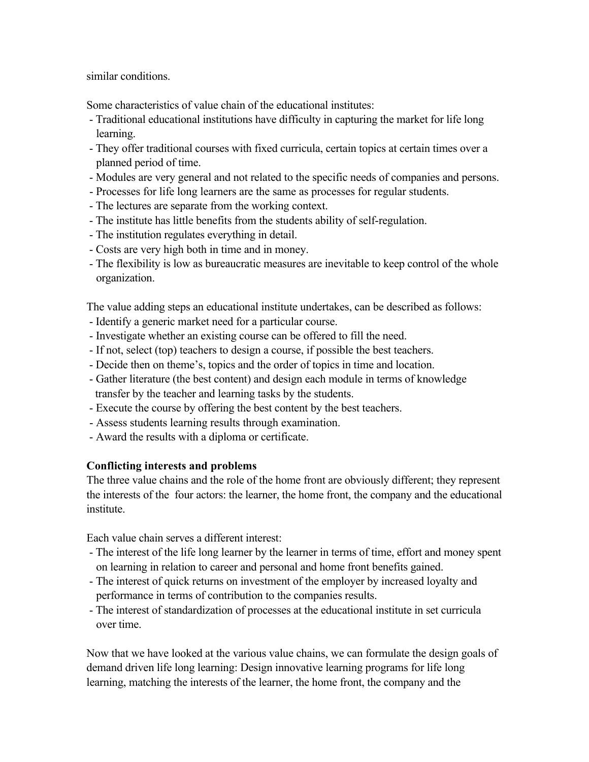similar conditions.

Some characteristics of value chain of the educational institutes:

- Traditional educational institutions have difficulty in capturing the market for life long learning.
- They offer traditional courses with fixed curricula, certain topics at certain times over a planned period of time.
- Modules are very general and not related to the specific needs of companies and persons.
- Processes for life long learners are the same as processes for regular students.
- The lectures are separate from the working context.
- The institute has little benefits from the students ability of self-regulation.
- The institution regulates everything in detail.
- Costs are very high both in time and in money.
- The flexibility is low as bureaucratic measures are inevitable to keep control of the whole organization.

The value adding steps an educational institute undertakes, can be described as follows:

- Identify a generic market need for a particular course.
- Investigate whether an existing course can be offered to fill the need.
- If not, select (top) teachers to design a course, if possible the best teachers.
- Decide then on theme's, topics and the order of topics in time and location.
- Gather literature (the best content) and design each module in terms of knowledge transfer by the teacher and learning tasks by the students.
- Execute the course by offering the best content by the best teachers.
- Assess students learning results through examination.
- Award the results with a diploma or certificate.

#### **Conflicting interests and problems**

The three value chains and the role of the home front are obviously different; they represent the interests of the four actors: the learner, the home front, the company and the educational institute.

Each value chain serves a different interest:

- The interest of the life long learner by the learner in terms of time, effort and money spent on learning in relation to career and personal and home front benefits gained.
- The interest of quick returns on investment of the employer by increased loyalty and performance in terms of contribution to the companies results.
- The interest of standardization of processes at the educational institute in set curricula over time.

Now that we have looked at the various value chains, we can formulate the design goals of demand driven life long learning: Design innovative learning programs for life long learning, matching the interests of the learner, the home front, the company and the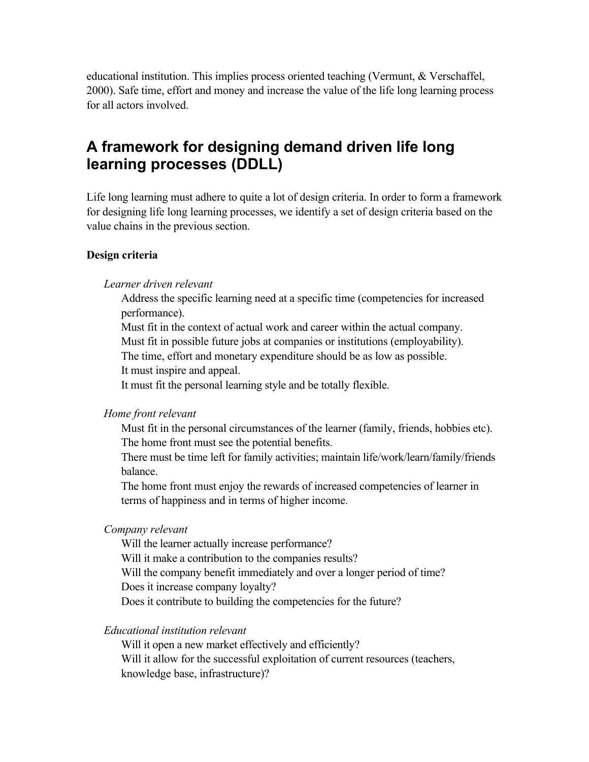educational institution. This implies process oriented teaching (Vermunt, & Verschaffel, 2000). Safe time, effort and money and increase the value of the life long learning process for all actors involved.

# **A framework for designing demand driven life long learning processes (DDLL)**

Life long learning must adhere to quite a lot of design criteria. In order to form a framework for designing life long learning processes, we identify a set of design criteria based on the value chains in the previous section.

#### **Design criteria**

#### *Learner driven relevant*

Address the specific learning need at a specific time (competencies for increased performance).

Must fit in the context of actual work and career within the actual company.

Must fit in possible future jobs at companies or institutions (employability).

The time, effort and monetary expenditure should be as low as possible.

It must inspire and appeal.

It must fit the personal learning style and be totally flexible.

#### *Home front relevant*

Must fit in the personal circumstances of the learner (family, friends, hobbies etc). The home front must see the potential benefits.

There must be time left for family activities; maintain life/work/learn/family/friends balance.

The home front must enjoy the rewards of increased competencies of learner in terms of happiness and in terms of higher income.

#### *Company relevant*

Will the learner actually increase performance? Will it make a contribution to the companies results? Will the company benefit immediately and over a longer period of time? Does it increase company loyalty? Does it contribute to building the competencies for the future?

*Educational institution relevant*

Will it open a new market effectively and efficiently? Will it allow for the successful exploitation of current resources (teachers, knowledge base, infrastructure)?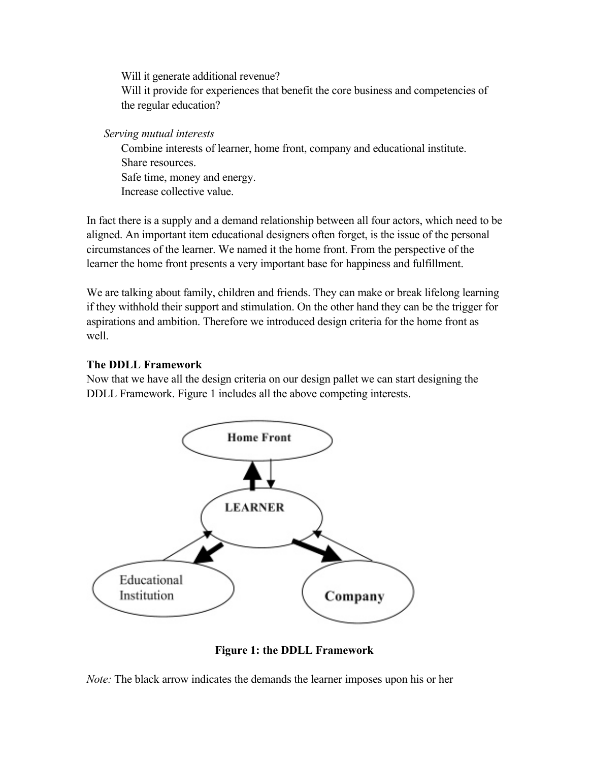Will it generate additional revenue? Will it provide for experiences that benefit the core business and competencies of the regular education?

*Serving mutual interests*

Combine interests of learner, home front, company and educational institute. Share resources. Safe time, money and energy. Increase collective value.

In fact there is a supply and a demand relationship between all four actors, which need to be aligned. An important item educational designers often forget, is the issue of the personal circumstances of the learner. We named it the home front. From the perspective of the learner the home front presents a very important base for happiness and fulfillment.

We are talking about family, children and friends. They can make or break lifelong learning if they withhold their support and stimulation. On the other hand they can be the trigger for aspirations and ambition. Therefore we introduced design criteria for the home front as well.

### **The DDLL Framework**

Now that we have all the design criteria on our design pallet we can start designing the DDLL Framework. Figure 1 includes all the above competing interests.



**Figure 1: the DDLL Framework**

*Note:* The black arrow indicates the demands the learner imposes upon his or her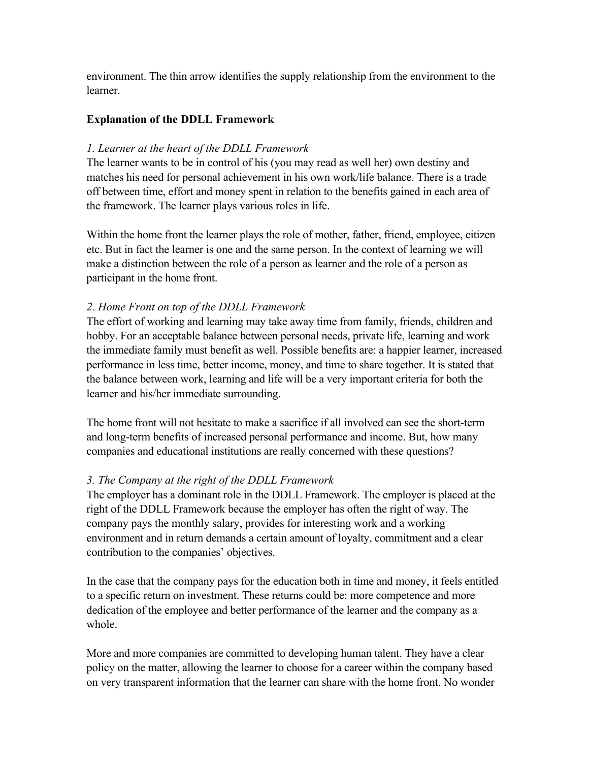environment. The thin arrow identifies the supply relationship from the environment to the learner.

#### **Explanation of the DDLL Framework**

#### *1. Learner at the heart of the DDLL Framework*

The learner wants to be in control of his (you may read as well her) own destiny and matches his need for personal achievement in his own work/life balance. There is a trade off between time, effort and money spent in relation to the benefits gained in each area of the framework. The learner plays various roles in life.

Within the home front the learner plays the role of mother, father, friend, employee, citizen etc. But in fact the learner is one and the same person. In the context of learning we will make a distinction between the role of a person as learner and the role of a person as participant in the home front.

### *2. Home Front on top of the DDLL Framework*

The effort of working and learning may take away time from family, friends, children and hobby. For an acceptable balance between personal needs, private life, learning and work the immediate family must benefit as well. Possible benefits are: a happier learner, increased performance in less time, better income, money, and time to share together. It is stated that the balance between work, learning and life will be a very important criteria for both the learner and his/her immediate surrounding.

The home front will not hesitate to make a sacrifice if all involved can see the short-term and long-term benefits of increased personal performance and income. But, how many companies and educational institutions are really concerned with these questions?

### *3. The Company at the right of the DDLL Framework*

The employer has a dominant role in the DDLL Framework. The employer is placed at the right of the DDLL Framework because the employer has often the right of way. The company pays the monthly salary, provides for interesting work and a working environment and in return demands a certain amount of loyalty, commitment and a clear contribution to the companies' objectives.

In the case that the company pays for the education both in time and money, it feels entitled to a specific return on investment. These returns could be: more competence and more dedication of the employee and better performance of the learner and the company as a whole.

More and more companies are committed to developing human talent. They have a clear policy on the matter, allowing the learner to choose for a career within the company based on very transparent information that the learner can share with the home front. No wonder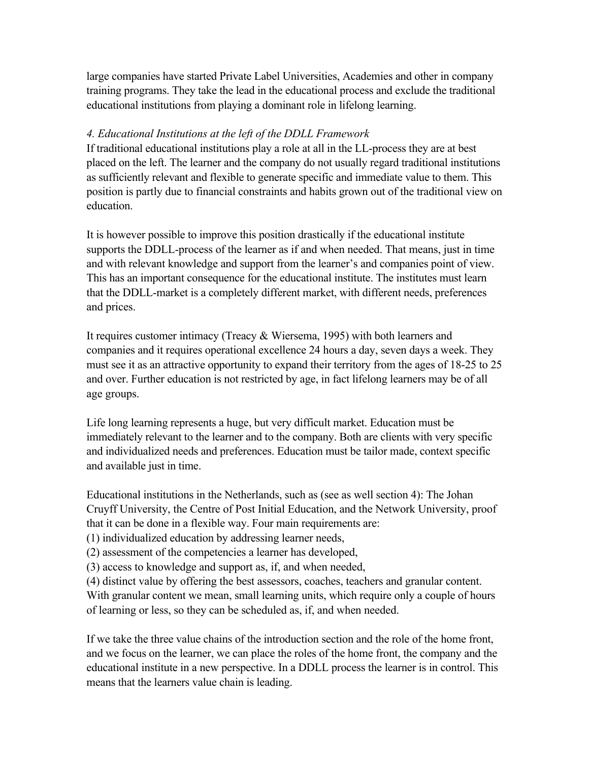large companies have started Private Label Universities, Academies and other in company training programs. They take the lead in the educational process and exclude the traditional educational institutions from playing a dominant role in lifelong learning.

#### *4. Educational Institutions at the left of the DDLL Framework*

If traditional educational institutions play a role at all in the LL-process they are at best placed on the left. The learner and the company do not usually regard traditional institutions as sufficiently relevant and flexible to generate specific and immediate value to them. This position is partly due to financial constraints and habits grown out of the traditional view on education.

It is however possible to improve this position drastically if the educational institute supports the DDLL-process of the learner as if and when needed. That means, just in time and with relevant knowledge and support from the learner's and companies point of view. This has an important consequence for the educational institute. The institutes must learn that the DDLL-market is a completely different market, with different needs, preferences and prices.

It requires customer intimacy (Treacy & Wiersema, 1995) with both learners and companies and it requires operational excellence 24 hours a day, seven days a week. They must see it as an attractive opportunity to expand their territory from the ages of 18-25 to 25 and over. Further education is not restricted by age, in fact lifelong learners may be of all age groups.

Life long learning represents a huge, but very difficult market. Education must be immediately relevant to the learner and to the company. Both are clients with very specific and individualized needs and preferences. Education must be tailor made, context specific and available just in time.

Educational institutions in the Netherlands, such as (see as well section 4): The Johan Cruyff University, the Centre of Post Initial Education, and the Network University, proof that it can be done in a flexible way. Four main requirements are:

(1) individualized education by addressing learner needs,

(2) assessment of the competencies a learner has developed,

(3) access to knowledge and support as, if, and when needed,

(4) distinct value by offering the best assessors, coaches, teachers and granular content. With granular content we mean, small learning units, which require only a couple of hours of learning or less, so they can be scheduled as, if, and when needed.

If we take the three value chains of the introduction section and the role of the home front, and we focus on the learner, we can place the roles of the home front, the company and the educational institute in a new perspective. In a DDLL process the learner is in control. This means that the learners value chain is leading.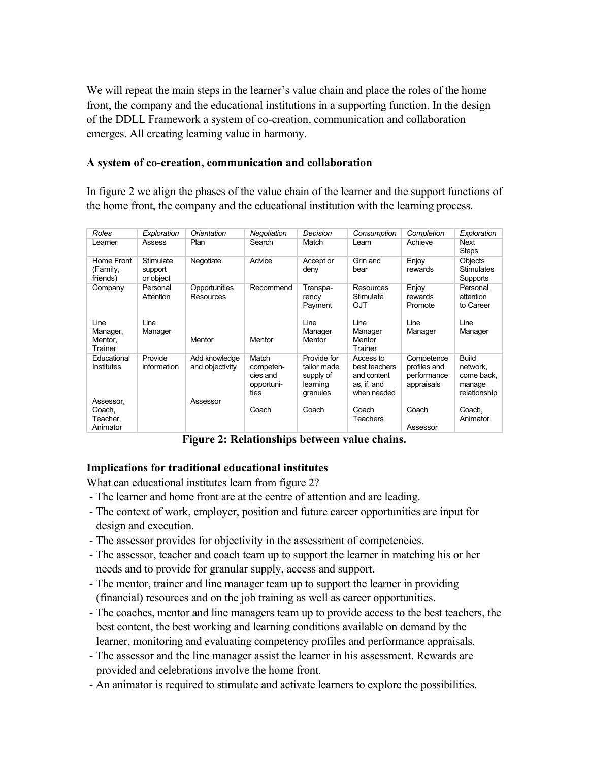We will repeat the main steps in the learner's value chain and place the roles of the home front, the company and the educational institutions in a supporting function. In the design of the DDLL Framework a system of co-creation, communication and collaboration emerges. All creating learning value in harmony.

#### **A system of co-creation, communication and collaboration**

In figure 2 we align the phases of the value chain of the learner and the support functions of the home front, the company and the educational institution with the learning process.

| Roles                                       | Exploration                       | Orientation                      | Negotiation                                          | Decision                                                        | Consumption                                                             | Completion                                              | Exploration                                                      |
|---------------------------------------------|-----------------------------------|----------------------------------|------------------------------------------------------|-----------------------------------------------------------------|-------------------------------------------------------------------------|---------------------------------------------------------|------------------------------------------------------------------|
| Learner                                     | Assess                            | Plan                             | Search                                               | Match                                                           | Learn                                                                   | Achieve                                                 | Next<br><b>Steps</b>                                             |
| Home Front<br>(Family,<br>friends)          | Stimulate<br>support<br>or object | Negotiate                        | Advice                                               | Accept or<br>deny                                               | Grin and<br>bear                                                        | Enjoy<br>rewards                                        | Objects<br><b>Stimulates</b><br>Supports                         |
| Company                                     | Personal<br>Attention             | Opportunities<br>Resources       | Recommend                                            | Transpa-<br>rency<br>Payment                                    | Resources<br>Stimulate<br>OJT                                           | Enjoy<br>rewards<br>Promote                             | Personal<br>attention<br>to Career                               |
| Line<br>Manager,<br>Mentor,<br>Trainer      | Line<br>Manager                   | Mentor                           | Mentor                                               | Line<br>Manager<br>Mentor                                       | Line<br>Manager<br>Mentor<br>Trainer                                    | Line<br>Manager                                         | Line<br>Manager                                                  |
| Educational<br>Institutes                   | Provide<br>information            | Add knowledge<br>and objectivity | Match<br>competen-<br>cies and<br>opportuni-<br>ties | Provide for<br>tailor made<br>supply of<br>learning<br>granules | Access to<br>best teachers<br>and content<br>as, if, and<br>when needed | Competence<br>profiles and<br>performance<br>appraisals | <b>Build</b><br>network,<br>come back.<br>manage<br>relationship |
| Assessor,<br>Coach,<br>Teacher.<br>Animator |                                   | Assessor                         | Coach                                                | Coach                                                           | Coach<br>Teachers                                                       | Coach<br>Assessor                                       | Coach,<br>Animator                                               |

**Figure 2: Relationships between value chains.** 

#### **Implications for traditional educational institutes**

What can educational institutes learn from figure 2?

- The learner and home front are at the centre of attention and are leading.
- The context of work, employer, position and future career opportunities are input for design and execution.
- The assessor provides for objectivity in the assessment of competencies.
- The assessor, teacher and coach team up to support the learner in matching his or her needs and to provide for granular supply, access and support.
- The mentor, trainer and line manager team up to support the learner in providing (financial) resources and on the job training as well as career opportunities.
- The coaches, mentor and line managers team up to provide access to the best teachers, the best content, the best working and learning conditions available on demand by the learner, monitoring and evaluating competency profiles and performance appraisals.
- The assessor and the line manager assist the learner in his assessment. Rewards are provided and celebrations involve the home front.
- An animator is required to stimulate and activate learners to explore the possibilities.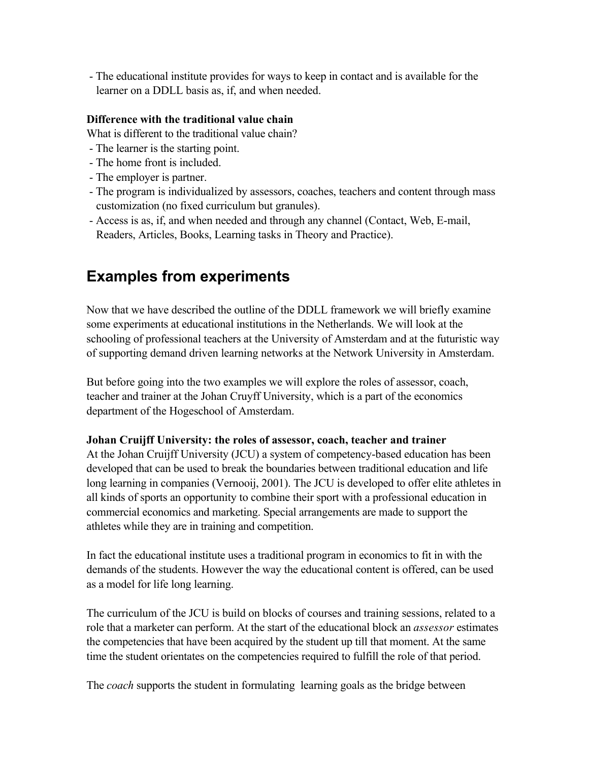- The educational institute provides for ways to keep in contact and is available for the learner on a DDLL basis as, if, and when needed.

#### **Difference with the traditional value chain**

What is different to the traditional value chain?

- The learner is the starting point.
- The home front is included.
- The employer is partner.
- The program is individualized by assessors, coaches, teachers and content through mass customization (no fixed curriculum but granules).
- Access is as, if, and when needed and through any channel (Contact, Web, E-mail, Readers, Articles, Books, Learning tasks in Theory and Practice).

## **Examples from experiments**

Now that we have described the outline of the DDLL framework we will briefly examine some experiments at educational institutions in the Netherlands. We will look at the schooling of professional teachers at the University of Amsterdam and at the futuristic way of supporting demand driven learning networks at the Network University in Amsterdam.

But before going into the two examples we will explore the roles of assessor, coach, teacher and trainer at the Johan Cruyff University, which is a part of the economics department of the Hogeschool of Amsterdam.

#### **Johan Cruijff University: the roles of assessor, coach, teacher and trainer**

At the Johan Cruijff University (JCU) a system of competency-based education has been developed that can be used to break the boundaries between traditional education and life long learning in companies (Vernooij, 2001). The JCU is developed to offer elite athletes in all kinds of sports an opportunity to combine their sport with a professional education in commercial economics and marketing. Special arrangements are made to support the athletes while they are in training and competition.

In fact the educational institute uses a traditional program in economics to fit in with the demands of the students. However the way the educational content is offered, can be used as a model for life long learning.

The curriculum of the JCU is build on blocks of courses and training sessions, related to a role that a marketer can perform. At the start of the educational block an *assessor* estimates the competencies that have been acquired by the student up till that moment. At the same time the student orientates on the competencies required to fulfill the role of that period.

The *coach* supports the student in formulating learning goals as the bridge between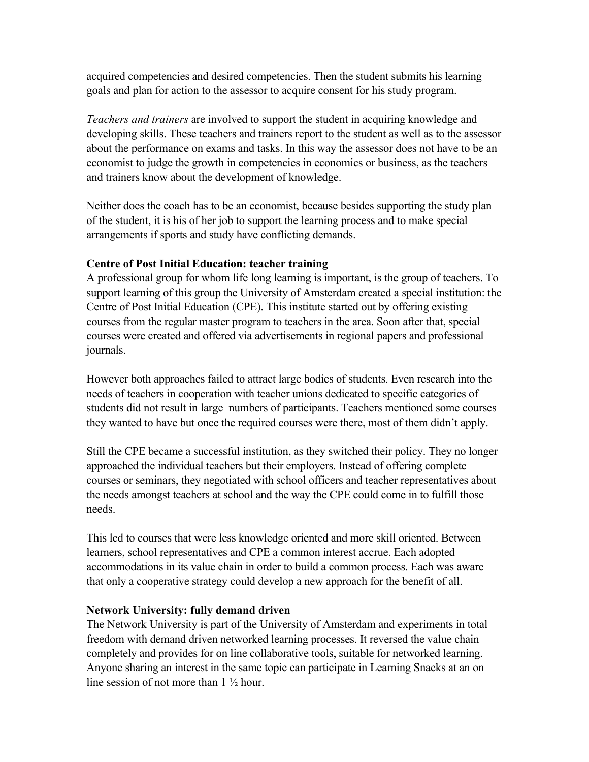acquired competencies and desired competencies. Then the student submits his learning goals and plan for action to the assessor to acquire consent for his study program.

*Teachers and trainers* are involved to support the student in acquiring knowledge and developing skills. These teachers and trainers report to the student as well as to the assessor about the performance on exams and tasks. In this way the assessor does not have to be an economist to judge the growth in competencies in economics or business, as the teachers and trainers know about the development of knowledge.

Neither does the coach has to be an economist, because besides supporting the study plan of the student, it is his of her job to support the learning process and to make special arrangements if sports and study have conflicting demands.

#### **Centre of Post Initial Education: teacher training**

A professional group for whom life long learning is important, is the group of teachers. To support learning of this group the University of Amsterdam created a special institution: the Centre of Post Initial Education (CPE). This institute started out by offering existing courses from the regular master program to teachers in the area. Soon after that, special courses were created and offered via advertisements in regional papers and professional journals.

However both approaches failed to attract large bodies of students. Even research into the needs of teachers in cooperation with teacher unions dedicated to specific categories of students did not result in large numbers of participants. Teachers mentioned some courses they wanted to have but once the required courses were there, most of them didn't apply.

Still the CPE became a successful institution, as they switched their policy. They no longer approached the individual teachers but their employers. Instead of offering complete courses or seminars, they negotiated with school officers and teacher representatives about the needs amongst teachers at school and the way the CPE could come in to fulfill those needs.

This led to courses that were less knowledge oriented and more skill oriented. Between learners, school representatives and CPE a common interest accrue. Each adopted accommodations in its value chain in order to build a common process. Each was aware that only a cooperative strategy could develop a new approach for the benefit of all.

#### **Network University: fully demand driven**

The Network University is part of the University of Amsterdam and experiments in total freedom with demand driven networked learning processes. It reversed the value chain completely and provides for on line collaborative tools, suitable for networked learning. Anyone sharing an interest in the same topic can participate in Learning Snacks at an on line session of not more than 1 ½ hour.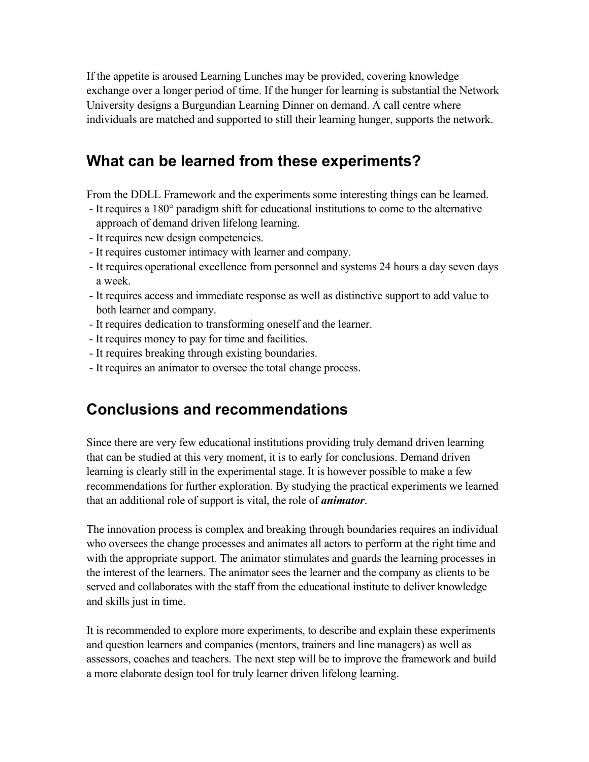If the appetite is aroused Learning Lunches may be provided, covering knowledge exchange over a longer period of time. If the hunger for learning is substantial the Network University designs a Burgundian Learning Dinner on demand. A call centre where individuals are matched and supported to still their learning hunger, supports the network.

# **What can be learned from these experiments?**

From the DDLL Framework and the experiments some interesting things can be learned.

- It requires a 180° paradigm shift for educational institutions to come to the alternative approach of demand driven lifelong learning.
- It requires new design competencies.
- It requires customer intimacy with learner and company.
- It requires operational excellence from personnel and systems 24 hours a day seven days a week.
- It requires access and immediate response as well as distinctive support to add value to both learner and company.
- It requires dedication to transforming oneself and the learner.
- It requires money to pay for time and facilities.
- It requires breaking through existing boundaries.
- It requires an animator to oversee the total change process.

# **Conclusions and recommendations**

Since there are very few educational institutions providing truly demand driven learning that can be studied at this very moment, it is to early for conclusions. Demand driven learning is clearly still in the experimental stage. It is however possible to make a few recommendations for further exploration. By studying the practical experiments we learned that an additional role of support is vital, the role of *animator*.

The innovation process is complex and breaking through boundaries requires an individual who oversees the change processes and animates all actors to perform at the right time and with the appropriate support. The animator stimulates and guards the learning processes in the interest of the learners. The animator sees the learner and the company as clients to be served and collaborates with the staff from the educational institute to deliver knowledge and skills just in time.

It is recommended to explore more experiments, to describe and explain these experiments and question learners and companies (mentors, trainers and line managers) as well as assessors, coaches and teachers. The next step will be to improve the framework and build a more elaborate design tool for truly learner driven lifelong learning.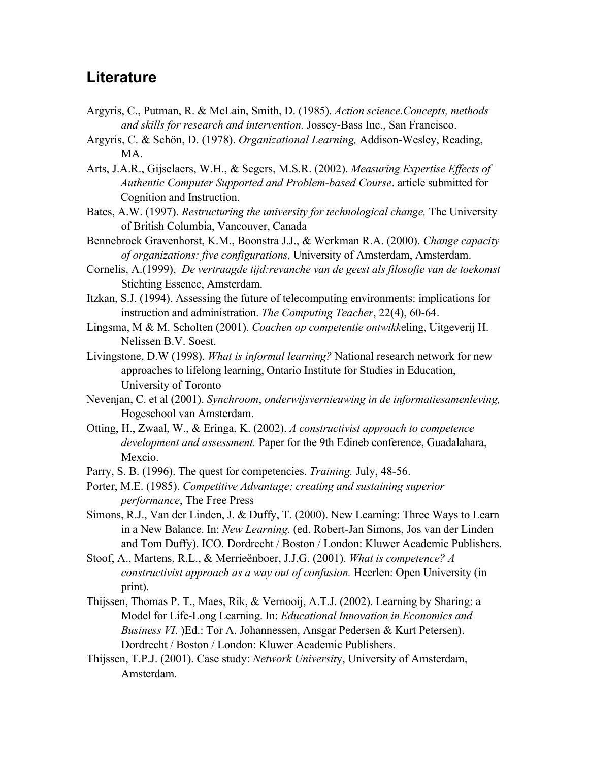### **Literature**

- Argyris, C., Putman, R. & McLain, Smith, D. (1985). *Action science.Concepts, methods and skills for research and intervention.* Jossey-Bass Inc., San Francisco.
- Argyris, C. & Schön, D. (1978). *Organizational Learning,* Addison-Wesley, Reading, MA.
- Arts, J.A.R., Gijselaers, W.H., & Segers, M.S.R. (2002). *Measuring Expertise Effects of Authentic Computer Supported and Problem-based Course*. article submitted for Cognition and Instruction.
- Bates, A.W. (1997). *Restructuring the university for technological change,* The University of British Columbia, Vancouver, Canada
- Bennebroek Gravenhorst, K.M., Boonstra J.J., & Werkman R.A. (2000). *Change capacity of organizations: five configurations,* University of Amsterdam, Amsterdam.
- Cornelis, A.(1999), *De vertraagde tijd:revanche van de geest als filosofie van de toekomst* Stichting Essence, Amsterdam.
- Itzkan, S.J. (1994). Assessing the future of telecomputing environments: implications for instruction and administration. *The Computing Teacher*, 22(4), 60-64.
- Lingsma, M & M. Scholten (2001). *Coachen op competentie ontwikk*eling, Uitgeverij H. Nelissen B.V. Soest.
- Livingstone, D.W (1998). *What is informal learning?* National research network for new approaches to lifelong learning, Ontario Institute for Studies in Education, University of Toronto
- Nevenjan, C. et al (2001). *Synchroom*, *onderwijsvernieuwing in de informatiesamenleving,*  Hogeschool van Amsterdam.
- Otting, H., Zwaal, W., & Eringa, K. (2002). *A constructivist approach to competence development and assessment.* Paper for the 9th Edineb conference, Guadalahara, Mexcio.
- Parry, S. B. (1996). The quest for competencies. *Training.* July, 48-56.
- Porter, M.E. (1985). *Competitive Advantage; creating and sustaining superior performance*, The Free Press
- Simons, R.J., Van der Linden, J. & Duffy, T. (2000). New Learning: Three Ways to Learn in a New Balance. In: *New Learning.* (ed. Robert-Jan Simons, Jos van der Linden and Tom Duffy). ICO. Dordrecht / Boston / London: Kluwer Academic Publishers.
- Stoof, A., Martens, R.L., & Merrieënboer, J.J.G. (2001). *What is competence? A constructivist approach as a way out of confusion.* Heerlen: Open University (in print).
- Thijssen, Thomas P. T., Maes, Rik, & Vernooij, A.T.J. (2002). Learning by Sharing: a Model for Life-Long Learning. In: *Educational Innovation in Economics and Business VI*. )Ed.: Tor A. Johannessen, Ansgar Pedersen & Kurt Petersen). Dordrecht / Boston / London: Kluwer Academic Publishers.
- Thijssen, T.P.J. (2001). Case study: *Network Universit*y, University of Amsterdam, Amsterdam.